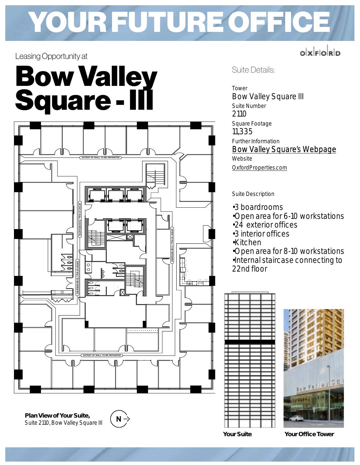#### YOUR FUTURE OFFICE **<sup>2201</sup> <sup>2200</sup> <sup>2215</sup> <sup>2202</sup> <sup>2234</sup> <sup>2204</sup> <sup>2203</sup> <sup>2206</sup> <sup>2207</sup> <sup>2210</sup> <sup>2205</sup> <sup>2208</sup> <sup>2209</sup> <sup>2211</sup> 2210A** YOUR FUTURE OFFICE **FLOOR 22 DEMOLITION LEGEND AND REPAIR ALL SLAB AND T-BAR CEILING AS REQUIRED. INDICATES EXISTING PARTITION TO BE REMOVED. PATCH GENERAL DEMOLITION NOTES OPERATION OF THE BASE BUILDING OR EXISTING TENANT INTERFERE IN ANY WAY WITH THE CONTINUITY OF THE REQUIRED TO BYPASS ALL SYSTEMS SO THAT THEY DO NOT THE CONTRACTOR SHALL CARRY OUT ALL NECESSARY WORK ANY SUB-TRADES UNDER HIS SUPERVISION. ANY DAMAGE TO THE BASE BUILDING CAUSED BY HIM OR CONTRACTOR IS TO BE RESPONSIBLE FOR THE REPAIR OF FINISHES AND EQUIPMENT DURING CONSTRUCTION. THE THE CONTRACTOR SHALL PROTECT ALL BASE BUILDING AS REQUIRED, FOR NEW. REFER TO 1/22-01. WHERE EXISTING PARTITIONS ARE REMOVED. MAKE READY, PATCH AND REPAIR, AS REQUIRED, ALL AFFECTED SURFACES PROJECT MANAGER BEFORE PROCEEDING WITH THE WORK AND SPECIFICATIONS. REPORT ANY DISCREPANCIES TO THE THE MECHANICAL, AND ELECTRICAL ENGINEERS DRAWINGS THESE DRAWINGS ARE TO BE READ IN CONJUNCTION WITH DISCREPANCIES TO THE DESIGNER PRIOR TO ANY DEMOLITION. CONTRACTOR TO SITE VERIFY ALL DIMENSIONS. REPORT ANY THE STORAGE AND DISPOSAL OF DEMOLISHED MATERIALS. STRICTLY TO ALL BUILDING REGULATIONS CONCERNING THE CONTRACTOR AND ALL HIS SUBTRADES TO ADHERE CONSTRUCTION PHASE OF PROJECT. TO BE REMOVED AND STORED FOR REINSTALLATION DURING ALL ACOUSTIC CEILING TILES IN AREA OF CONSTRUCTION TO DEMOLITION NOTE #1 BELOW FOR MORE INFORMATION. INDICATES EXISTING MILLWORK TO BE REMOVED. REFER AND DISPOSED OF AS PER LANDLORD REGULATIONS. INDICATES EXISTING SIDELIGHT AND CASING TO BE REMOVED INDICATES EXISTING SIDELIGHT AND CASING TO REMAIN. TO REMAIN. INDICATES EXISTING DOOR, FRAME AND HARDWARE INDICATES EXISTING PARTITION TO BE REMAIN. INDICATES ROOM NUMBER (FOR REFERENCE ONLY) LAYOUT. FLOORING AND BASE. REFER TO SHEET 22-02 FOR NEW FINISHES REMOVED. PATCH & REPAIR SLAB AND WALLS TO ACCEPT NEW INDICATES EXTENT OF EXISTING FLOORING AND BASE TO BE DEMOLITION NOTES FOR NEW COUNTER. BE REMOVED AND DISPOSED OF. MAKE READY BASE CABINETS INDICATES EXISTING COUNTER TOP AND BACKSPLASH, ONLY, TO**

#### Leasing Opportunity at

## Bow Valley Square - III



Plan View of Your Suite, Suite 2110, Bow Valley Square III



Suite Details:

Tower Bow Valley Square III Suite Number 2110 Square Footage 11,335 Further Information [Bow Valley Square's Webpage](https://www.oxfordproperties.com/lease/office/bow-valley-square-1) Website [OxfordProperties.com](https://www.oxfordproperties.com/)

olxForD

Suite Description

- •3 boardrooms
- •Open area for 6-10 workstations
- •24 exterior offices
- •3 interior offices
- •Kitchen

•Open area for 8-10 workstations •Internal staircase connecting to 22nd floor





Your Suite Your Office Tower